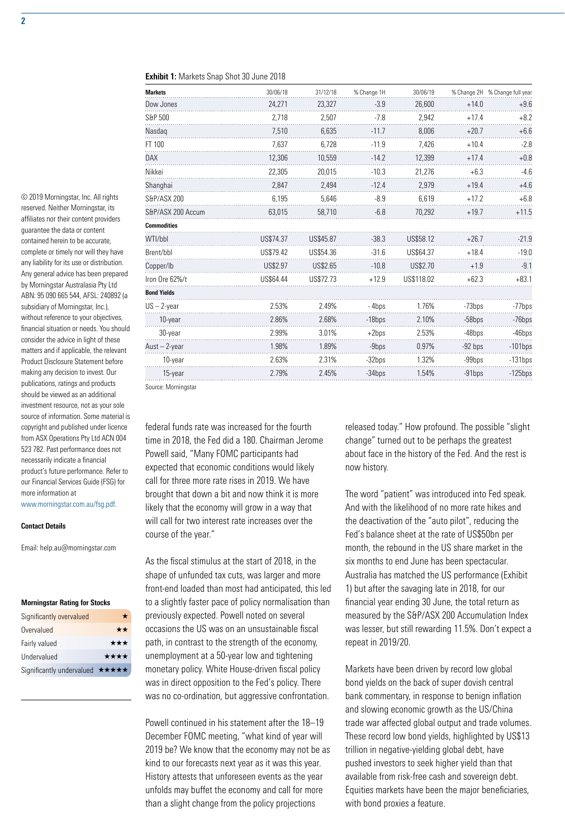## Exhibit 1: Markets Snap Shot 30 June 2018

| <b>Markets</b>     | 30/06/18  | 31/12/18  | % Change 1H | 30/06/19   |           | % Change 2H % Change full year |
|--------------------|-----------|-----------|-------------|------------|-----------|--------------------------------|
| Dow Jones          | 24,271    | 23,327    | $-3.9$      | 26,600     | $+14.0$   | $+9.6$                         |
| S&P 500            | 2.718     | 2,507     | $-7.8$      | 2.942      | $+17.4$   | $+8.2$                         |
| Nasdaq             | 7.510     | 6,635     | $-11.7$     | 8.006      | $+20.7$   | $+6.6$                         |
| FT 100             | 7.637     | 6,728     | $-11.9$     | 7.426      | $+10.4$   | $-2.8$                         |
| <b>DAX</b>         | 12,306    | 10,559    | $-14.2$     | 12,399     | $+17.4$   | $+0.8$                         |
| Nikkei             | 22,305    | 20,015    | $-10.3$     | 21,276     | $+6.3$    | $-4.6$                         |
| Shanghai           | 2.847     | 2,494     | $-12.4$     | 2.979      | $+19.4$   | $+4.6$                         |
| S&P/ASX 200        | 6,195     | 5,646     | $-8.9$      | 6.619      | $+17.2$   | $+6.8$                         |
| S&P/ASX 200 Accum  | 63,015    | 58,710    | $-6.8$      | 70,292     | $+19.7$   | $+11.5$                        |
| <b>Commodities</b> |           |           |             |            |           |                                |
| WTI/bbl            | US\$74.37 | US\$45.87 | $-38.3$     | US\$58.12  | $+26.7$   | $-21.9$                        |
| Brent/bbl          | US\$79.42 | US\$54.36 | $-31.6$     | US\$64.37  | $+18.4$   | $-19.0$                        |
| Copper/lb          | US\$2.97  | US\$2.65  | $-10.8$     | US\$2.70   | $+1.9$    | $-9.1$                         |
| Iron Ore 62%/t     | US\$64.44 | US\$72.73 | $+12.9$     | US\$118.02 | $+62.3$   | $+83.1$                        |
| <b>Bond Yields</b> |           |           |             |            |           |                                |
| $US - 2$ -year     | 2.53%     | 2.49%     | - 4bps      | 1.76%      | $-73b$ ps | -77bps                         |
| 10-year            | 2.86%     | 2.68%     | $-18b$ ps   | 2.10%      | $-58$ bps | $-76bps$                       |
| 30-year            | 2.99%     | 3.01%     | $+2bps$     | 2.53%      | $-48$ bps | $-46$ bps                      |
| Aust - 2-year      | 1.98%     | 1.89%     | -9bps       | 0.97%      | $-92$ bps | $-101$ bps                     |
| 10-year            | 2.63%     | 2.31%     | $-32$ bps   | 1.32%      | -99bps    | $-131$ bps                     |
| 15-year            | 2.79%     | 2.45%     | $-34$ bps   | 1.54%      | $-91$ bps | $-125$ bps                     |
|                    |           |           |             |            |           |                                |

Source: Morningstar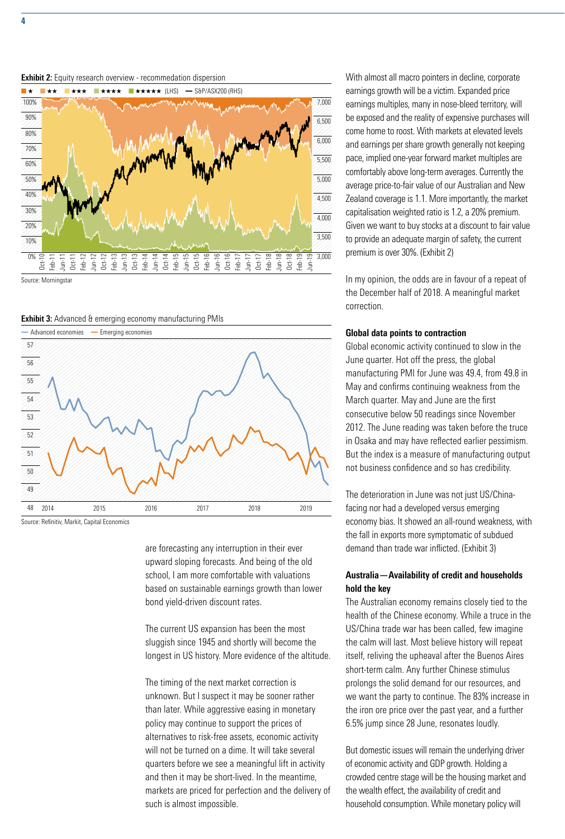

## Exhibit 3: Advanced & emerging economy manufacturing PMIs

Source: Refinitiv, Markit, Capital Economics